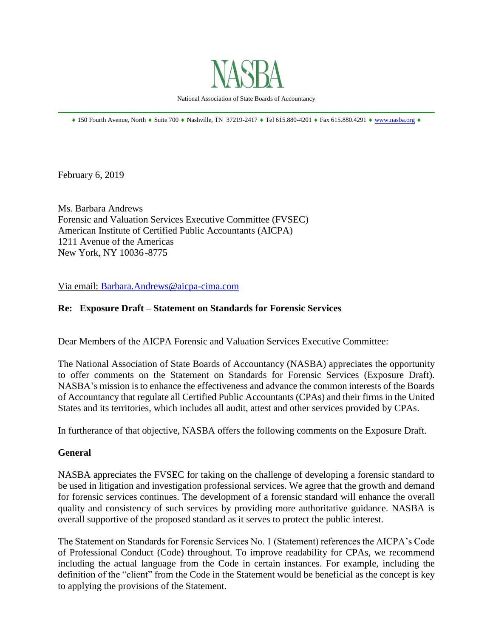

National Association of State Boards of Accountancy \_\_\_\_\_\_\_\_\_\_\_\_\_\_\_\_\_\_\_\_\_\_\_\_\_\_\_\_\_\_\_\_\_\_\_\_\_\_\_\_\_\_\_\_\_\_\_\_\_\_\_\_\_\_\_\_\_\_\_\_\_\_\_\_\_\_\_\_\_\_\_\_\_\_\_\_\_\_

 $*$  150 Fourth Avenue, North  $*$  Suite 700  $*$  Nashville, TN 37219-2417  $*$  Tel 615.880-4201  $*$  Fax 615.880.4291  $*$  [www.nasba.org](http://www.nasba.org/)  $*$ 

February 6, 2019

Ms. Barbara Andrews Forensic and Valuation Services Executive Committee (FVSEC) American Institute of Certified Public Accountants (AICPA) 1211 Avenue of the Americas New York, NY 10036-8775

Via email: [Barbara.Andrews@aicpa-cima.com](mailto:Barbara.Andrews@aicpa-cima.com)

### **Re: Exposure Draft – Statement on Standards for Forensic Services**

Dear Members of the AICPA Forensic and Valuation Services Executive Committee:

The National Association of State Boards of Accountancy (NASBA) appreciates the opportunity to offer comments on the Statement on Standards for Forensic Services (Exposure Draft). NASBA's mission is to enhance the effectiveness and advance the common interests of the Boards of Accountancy that regulate all Certified Public Accountants (CPAs) and their firms in the United States and its territories, which includes all audit, attest and other services provided by CPAs.

In furtherance of that objective, NASBA offers the following comments on the Exposure Draft.

### **General**

NASBA appreciates the FVSEC for taking on the challenge of developing a forensic standard to be used in litigation and investigation professional services. We agree that the growth and demand for forensic services continues. The development of a forensic standard will enhance the overall quality and consistency of such services by providing more authoritative guidance. NASBA is overall supportive of the proposed standard as it serves to protect the public interest.

The Statement on Standards for Forensic Services No. 1 (Statement) references the AICPA's Code of Professional Conduct (Code) throughout. To improve readability for CPAs, we recommend including the actual language from the Code in certain instances. For example, including the definition of the "client" from the Code in the Statement would be beneficial as the concept is key to applying the provisions of the Statement.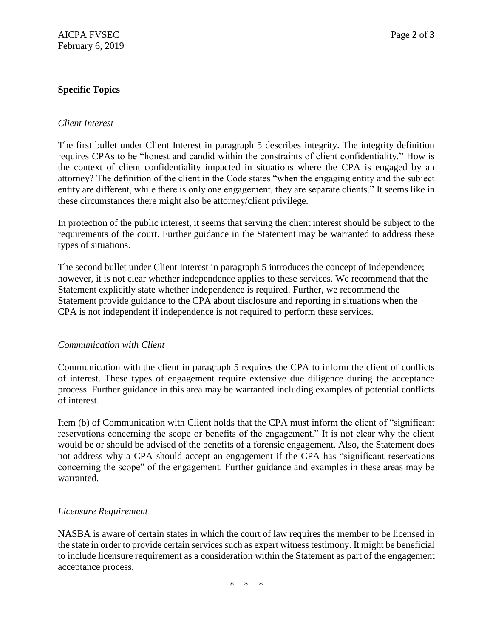# **Specific Topics**

### *Client Interest*

The first bullet under Client Interest in paragraph 5 describes integrity. The integrity definition requires CPAs to be "honest and candid within the constraints of client confidentiality." How is the context of client confidentiality impacted in situations where the CPA is engaged by an attorney? The definition of the client in the Code states "when the engaging entity and the subject entity are different, while there is only one engagement, they are separate clients." It seems like in these circumstances there might also be attorney/client privilege.

In protection of the public interest, it seems that serving the client interest should be subject to the requirements of the court. Further guidance in the Statement may be warranted to address these types of situations.

The second bullet under Client Interest in paragraph 5 introduces the concept of independence; however, it is not clear whether independence applies to these services. We recommend that the Statement explicitly state whether independence is required. Further, we recommend the Statement provide guidance to the CPA about disclosure and reporting in situations when the CPA is not independent if independence is not required to perform these services.

# *Communication with Client*

Communication with the client in paragraph 5 requires the CPA to inform the client of conflicts of interest. These types of engagement require extensive due diligence during the acceptance process. Further guidance in this area may be warranted including examples of potential conflicts of interest.

Item (b) of Communication with Client holds that the CPA must inform the client of "significant reservations concerning the scope or benefits of the engagement." It is not clear why the client would be or should be advised of the benefits of a forensic engagement. Also, the Statement does not address why a CPA should accept an engagement if the CPA has "significant reservations concerning the scope" of the engagement. Further guidance and examples in these areas may be warranted.

# *Licensure Requirement*

NASBA is aware of certain states in which the court of law requires the member to be licensed in the state in order to provide certain services such as expert witness testimony. It might be beneficial to include licensure requirement as a consideration within the Statement as part of the engagement acceptance process.

\* \* \*